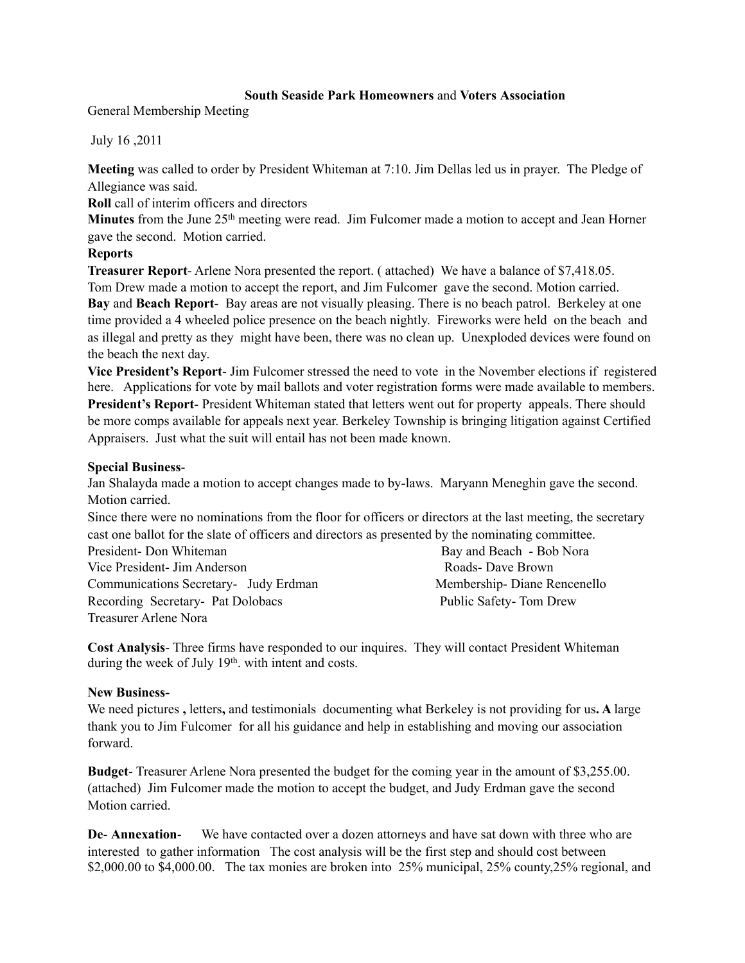## **South Seaside Park Homeowners** and **Voters Association**

General Membership Meeting

July 16 ,2011

**Meeting** was called to order by President Whiteman at 7:10. Jim Dellas led us in prayer. The Pledge of Allegiance was said.

**Roll** call of interim officers and directors

**Minutes** from the June 25<sup>th</sup> meeting were read. Jim Fulcomer made a motion to accept and Jean Horner gave the second. Motion carried.

## **Reports**

**Treasurer Report**- Arlene Nora presented the report. ( attached) We have a balance of \$7,418.05.

Tom Drew made a motion to accept the report, and Jim Fulcomer gave the second. Motion carried. **Bay** and **Beach Report**- Bay areas are not visually pleasing. There is no beach patrol. Berkeley at one time provided a 4 wheeled police presence on the beach nightly. Fireworks were held on the beach and as illegal and pretty as they might have been, there was no clean up. Unexploded devices were found on the beach the next day.

**Vice President's Report**- Jim Fulcomer stressed the need to vote in the November elections if registered here. Applications for vote by mail ballots and voter registration forms were made available to members. **President's Report**- President Whiteman stated that letters went out for property appeals. There should be more comps available for appeals next year. Berkeley Township is bringing litigation against Certified Appraisers. Just what the suit will entail has not been made known.

## **Special Business**-

Jan Shalayda made a motion to accept changes made to by-laws. Maryann Meneghin gave the second. Motion carried.

Since there were no nominations from the floor for officers or directors at the last meeting, the secretary cast one ballot for the slate of officers and directors as presented by the nominating committee.

| President-Don Whiteman                | Bay and Beach - Bob Nora    |
|---------------------------------------|-----------------------------|
| Vice President - Jim Anderson         | Roads-Dave Brown            |
| Communications Secretary- Judy Erdman | Membership-Diane Rencenello |
| Recording Secretary- Pat Dolobacs     | Public Safety-Tom Drew      |
| Treasurer Arlene Nora                 |                             |

**Cost Analysis**- Three firms have responded to our inquires. They will contact President Whiteman during the week of July 19<sup>th</sup>, with intent and costs.

## **New Business-**

We need pictures **,** letters**,** and testimonialsdocumenting what Berkeley is not providing for us**. A** large thank you to Jim Fulcomer for all his guidance and help in establishing and moving our association forward.

**Budget**- Treasurer Arlene Nora presented the budget for the coming year in the amount of \$3,255.00. (attached) Jim Fulcomer made the motion to accept the budget, and Judy Erdman gave the second Motion carried.

**De**- **Annexation**- We have contacted over a dozen attorneys and have sat down with three who are interested to gather information The cost analysis will be the first step and should cost between \$2,000.00 to \$4,000.00. The tax monies are broken into 25% municipal, 25% county, 25% regional, and